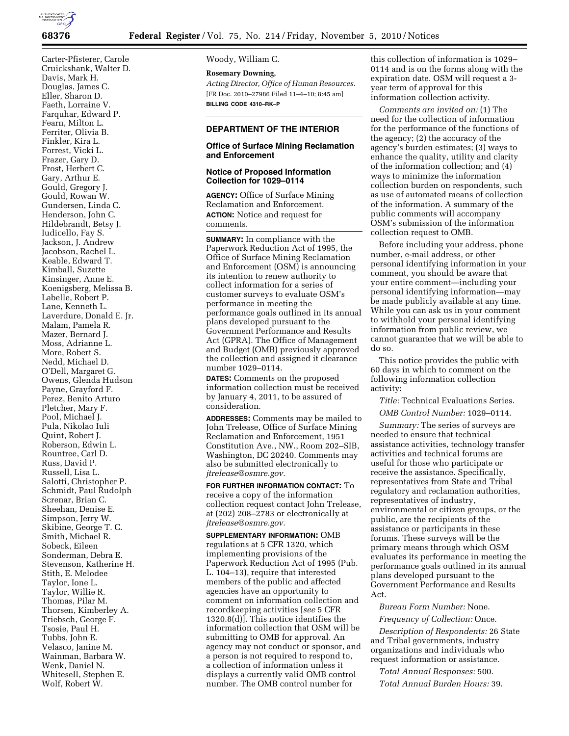

Carter-Pfisterer, Carole Cruickshank, Walter D. Davis, Mark H. Douglas, James C. Eller, Sharon D. Faeth, Lorraine V. Farquhar, Edward P. Fearn, Milton L. Ferriter, Olivia B. Finkler, Kira L. Forrest, Vicki L. Frazer, Gary D. Frost, Herbert C. Gary, Arthur E. Gould, Gregory J. Gould, Rowan W. Gundersen, Linda C. Henderson, John C. Hildebrandt, Betsy J. Iudicello, Fay S. Jackson, J. Andrew Jacobson, Rachel L. Keable, Edward T. Kimball, Suzette Kinsinger, Anne E. Koenigsberg, Melissa B. Labelle, Robert P. Lane, Kenneth L. Laverdure, Donald E. Jr. Malam, Pamela R. Mazer, Bernard J. Moss, Adrianne L. More, Robert S. Nedd, Michael D. O'Dell, Margaret G. Owens, Glenda Hudson Payne, Grayford F. Perez, Benito Arturo Pletcher, Mary F. Pool, Michael J. Pula, Nikolao Iuli Quint, Robert J. Roberson, Edwin L. Rountree, Carl D. Russ, David P. Russell, Lisa L. Salotti, Christopher P. Schmidt, Paul Rudolph Screnar, Brian C. Sheehan, Denise E. Simpson, Jerry W. Skibine, George T. C. Smith, Michael R. Sobeck, Eileen Sonderman, Debra E. Stevenson, Katherine H. Stith, E. Melodee Taylor, Ione L. Taylor, Willie R. Thomas, Pilar M. Thorsen, Kimberley A. Triebsch, George F. Tsosie, Paul H. Tubbs, John E. Velasco, Janine M. Wainman, Barbara W. Wenk, Daniel N. Whitesell, Stephen E.

Wolf, Robert W.

Woody, William C.

**Rosemary Downing,**  *Acting Director, Office of Human Resources.*  [FR Doc. 2010–27986 Filed 11–4–10; 8:45 am] **BILLING CODE 4310–RK–P** 

# **DEPARTMENT OF THE INTERIOR**

## **Office of Surface Mining Reclamation and Enforcement**

## **Notice of Proposed Information Collection for 1029–0114**

**AGENCY:** Office of Surface Mining Reclamation and Enforcement. **ACTION:** Notice and request for comments.

**SUMMARY:** In compliance with the Paperwork Reduction Act of 1995, the Office of Surface Mining Reclamation and Enforcement (OSM) is announcing its intention to renew authority to collect information for a series of customer surveys to evaluate OSM's performance in meeting the performance goals outlined in its annual plans developed pursuant to the Government Performance and Results Act (GPRA). The Office of Management and Budget (OMB) previously approved the collection and assigned it clearance number 1029–0114.

**DATES:** Comments on the proposed information collection must be received by January 4, 2011, to be assured of consideration.

**ADDRESSES:** Comments may be mailed to John Trelease, Office of Surface Mining Reclamation and Enforcement, 1951 Constitution Ave., NW., Room 202–SIB, Washington, DC 20240. Comments may also be submitted electronically to *[jtrelease@osmre.gov.](mailto:jtrelease@osmre.gov)* 

**FOR FURTHER INFORMATION CONTACT:** To receive a copy of the information collection request contact John Trelease, at (202) 208–2783 or electronically at *[jtrelease@osmre.gov.](mailto:jtrelease@osmre.gov)* 

**SUPPLEMENTARY INFORMATION:** OMB regulations at 5 CFR 1320, which implementing provisions of the Paperwork Reduction Act of 1995 (Pub. L. 104–13), require that interested members of the public and affected agencies have an opportunity to comment on information collection and recordkeeping activities [*see* 5 CFR 1320.8(d)]. This notice identifies the information collection that OSM will be submitting to OMB for approval. An agency may not conduct or sponsor, and a person is not required to respond to, a collection of information unless it displays a currently valid OMB control number. The OMB control number for

this collection of information is 1029– 0114 and is on the forms along with the expiration date. OSM will request a 3 year term of approval for this information collection activity.

*Comments are invited on:* (1) The need for the collection of information for the performance of the functions of the agency; (2) the accuracy of the agency's burden estimates; (3) ways to enhance the quality, utility and clarity of the information collection; and (4) ways to minimize the information collection burden on respondents, such as use of automated means of collection of the information. A summary of the public comments will accompany OSM's submission of the information collection request to OMB.

Before including your address, phone number, e-mail address, or other personal identifying information in your comment, you should be aware that your entire comment—including your personal identifying information—may be made publicly available at any time. While you can ask us in your comment to withhold your personal identifying information from public review, we cannot guarantee that we will be able to do so.

This notice provides the public with 60 days in which to comment on the following information collection activity:

*Title:* Technical Evaluations Series.

*OMB Control Number:* 1029–0114.

*Summary:* The series of surveys are needed to ensure that technical assistance activities, technology transfer activities and technical forums are useful for those who participate or receive the assistance. Specifically, representatives from State and Tribal regulatory and reclamation authorities, representatives of industry, environmental or citizen groups, or the public, are the recipients of the assistance or participants in these forums. These surveys will be the primary means through which OSM evaluates its performance in meeting the performance goals outlined in its annual plans developed pursuant to the Government Performance and Results Act.

*Bureau Form Number:* None.

*Frequency of Collection:* Once.

*Description of Respondents:* 26 State and Tribal governments, industry organizations and individuals who request information or assistance.

*Total Annual Responses:* 500. *Total Annual Burden Hours:* 39.